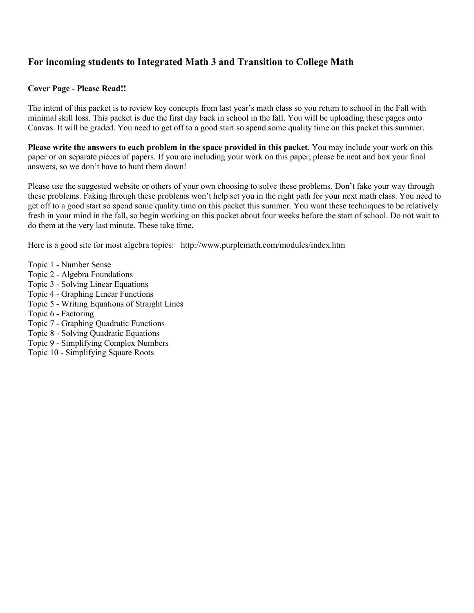## **For incoming students to Integrated Math 3 and Transition to College Math**

#### **Cover Page - Please Read!!**

The intent of this packet is to review key concepts from last year's math class so you return to school in the Fall with minimal skill loss. This packet is due the first day back in school in the fall. You will be uploading these pages onto Canvas. It will be graded. You need to get off to a good start so spend some quality time on this packet this summer.

**Please write the answers to each problem in the space provided in this packet.** You may include your work on this paper or on separate pieces of papers. If you are including your work on this paper, please be neat and box your final answers, so we don't have to hunt them down!

Please use the suggested website or others of your own choosing to solve these problems. Don't fake your way through these problems. Faking through these problems won't help set you in the right path for your next math class. You need to get off to a good start so spend some quality time on this packet this summer. You want these techniques to be relatively fresh in your mind in the fall, so begin working on this packet about four weeks before the start of school. Do not wait to do them at the very last minute. These take time.

Here is a good site for most algebra topics: http://www.purplemath.com/modules/index.htm

- Topic 1 Number Sense
- Topic 2 Algebra Foundations
- Topic 3 Solving Linear Equations
- Topic 4 Graphing Linear Functions
- Topic 5 Writing Equations of Straight Lines
- Topic 6 Factoring
- Topic 7 Graphing Quadratic Functions
- Topic 8 Solving Quadratic Equations
- Topic 9 Simplifying Complex Numbers
- Topic 10 Simplifying Square Roots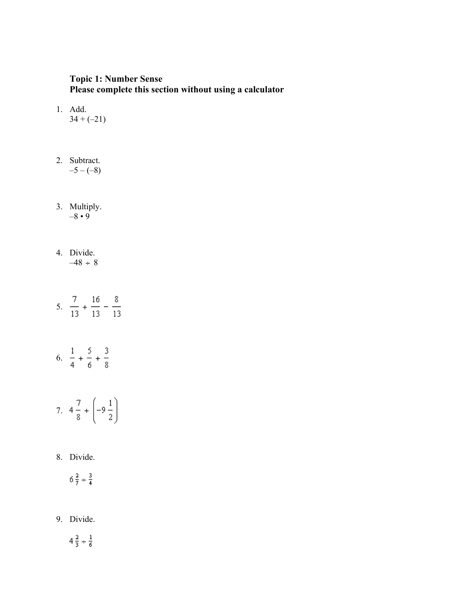## **Topic 1: Number Sense Please complete this section without using a calculator**

- 1. Add.  $34 + (-21)$
- 2. Subtract.  $-5 - (-8)$
- 3. Multiply.  $-8 \cdot 9$
- 4. Divide.  $-48 \div 8$
- 5.  $\frac{7}{13} + \frac{16}{13} \frac{8}{13}$
- 6.  $\frac{1}{4} + \frac{5}{6} + \frac{3}{8}$

7. 
$$
4\frac{7}{8} + \left(-9\frac{1}{2}\right)
$$

8. Divide.

$$
6\,\frac{2}{7} \div \frac{3}{4}
$$

9. Divide.

$$
4\,\frac{2}{3}\,\pm\,\frac{1}{6}
$$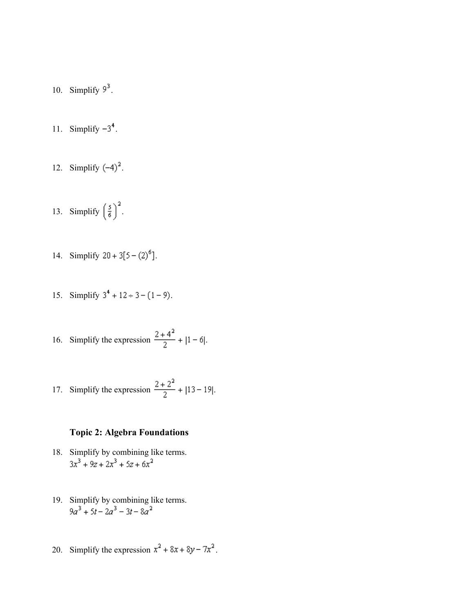- 10. Simplify  $9^3$ .
- 11. Simplify  $-3^4$ .
- 12. Simplify  $(-4)^2$ .
- 13. Simplify  $\left(\frac{5}{6}\right)^2$ .
- 14. Simplify  $20 + 3[5 (2)^6]$ .
- 15. Simplify  $3^4 + 12 \div 3 (1 9)$ .

16. Simplify the expression 
$$
\frac{2+4^2}{2} + |1-6|
$$
.

17. Simplify the expression 
$$
\frac{2+2^2}{2} + |13-19|.
$$

## **Topic 2: Algebra Foundations**

- 18. Simplify by combining like terms.<br> $3x^3 + 9z + 2x^3 + 5z + 6x^2$
- 19. Simplify by combining like terms.<br> $9a^3 + 5t 2a^3 3t 8a^2$
- 20. Simplify the expression  $x^2 + 8x + 8y 7x^2$ .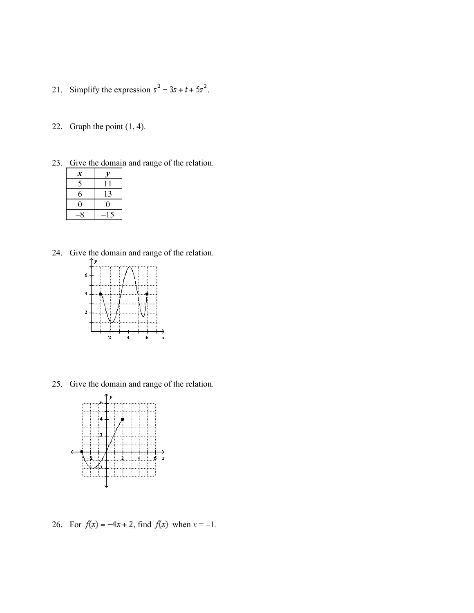- 21. Simplify the expression  $s^2 3s + t + 5s^2$ .
- 22. Graph the point (1, 4).
- 23. Give the domain and range of the relation.

| $\boldsymbol{x}$ | v  |
|------------------|----|
| 5                | Ħ  |
| 6                | 13 |
| 0                | 0  |
| 8                | 15 |

24. Give the domain and range of the relation.



25. Give the domain and range of the relation.



26. For  $f(x) = -4x + 2$ , find  $f(x)$  when  $x = -1$ .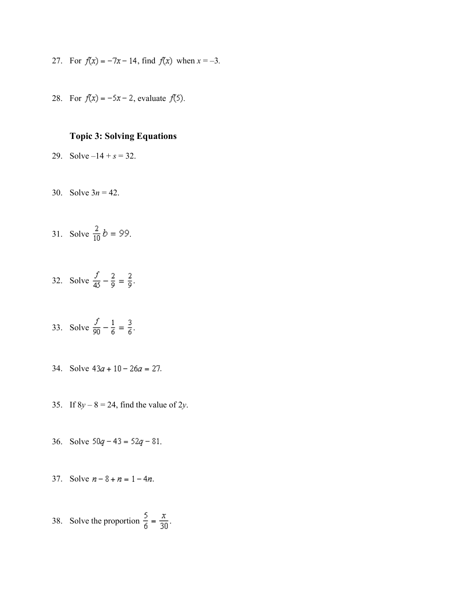- 27. For  $f(x) = -7x 14$ , find  $f(x)$  when  $x = -3$ .
- 28. For  $f(x) = -5x 2$ , evaluate  $f(5)$ .

#### **Topic 3: Solving Equations**

- 29. Solve  $-14 + s = 32$ .
- 30. Solve 3*n* = 42.
- 31. Solve  $\frac{2}{10}b = 99$ .
- 32. Solve  $\frac{f}{45} \frac{2}{9} = \frac{2}{9}$ .
- 33. Solve  $\frac{f}{90} \frac{1}{6} = \frac{3}{6}$ .
- 34. Solve  $43a + 10 26a = 27$ .
- 35. If  $8y 8 = 24$ , find the value of  $2y$ .
- 36. Solve  $50q 43 = 52q 81$ .
- 37. Solve  $n 8 + n = 1 4n$ .
- 38. Solve the proportion  $\frac{5}{6} = \frac{x}{30}$ .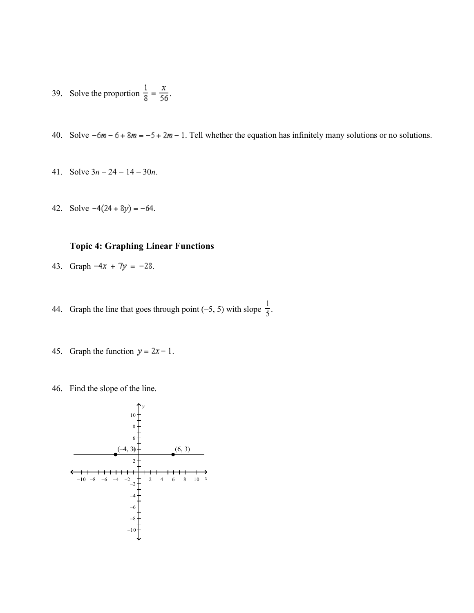- 39. Solve the proportion  $\frac{1}{8} = \frac{x}{56}$ .
- 40. Solve  $-6m 6 + 8m = -5 + 2m 1$ . Tell whether the equation has infinitely many solutions or no solutions.
- 41. Solve 3*n* 24 = 14 30*n*.
- 42. Solve  $-4(24+8y) = -64$ .

#### **Topic 4: Graphing Linear Functions**

- 43. Graph  $-4x + 7y = -28$ .
- 44. Graph the line that goes through point (-5, 5) with slope  $\frac{1}{5}$ .
	- 45. Graph the function  $y = 2x 1$ .
	- 46. Find the slope of the line.

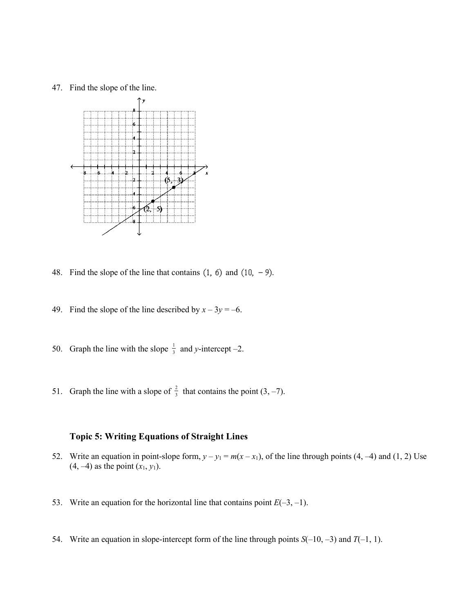47. Find the slope of the line.



48. Find the slope of the line that contains  $(1, 6)$  and  $(10, -9)$ .

- 49. Find the slope of the line described by  $x 3y = -6$ .
- 50. Graph the line with the slope  $\frac{1}{3}$  and *y*-intercept -2.
- 51. Graph the line with a slope of  $\frac{2}{3}$  that contains the point (3, -7).

## **Topic 5: Writing Equations of Straight Lines**

- 52. Write an equation in point-slope form,  $y y_1 = m(x x_1)$ , of the line through points (4, -4) and (1, 2) Use  $(4, -4)$  as the point  $(x_1, y_1)$ .
- 53. Write an equation for the horizontal line that contains point  $E(-3, -1)$ .
- 54. Write an equation in slope-intercept form of the line through points *S*(–10, –3) and *T*(–1, 1).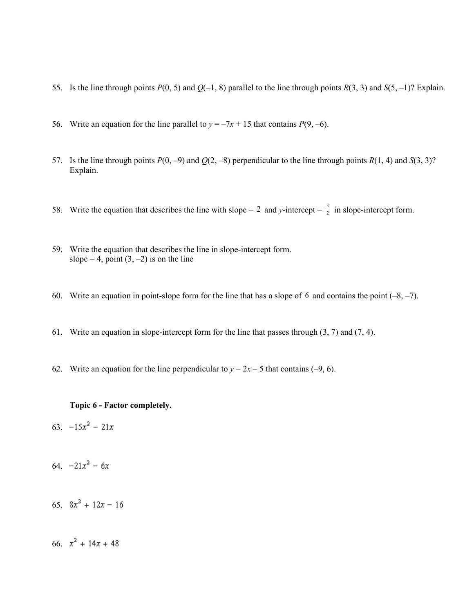- 55. Is the line through points *P*(0, 5) and *Q*(–1, 8) parallel to the line through points *R*(3, 3) and *S*(5, –1)? Explain.
- 56. Write an equation for the line parallel to  $y = -7x + 15$  that contains  $P(9, -6)$ .
- 57. Is the line through points  $P(0, -9)$  and  $Q(2, -8)$  perpendicular to the line through points  $R(1, 4)$  and  $S(3, 3)$ ? Explain.
- 58. Write the equation that describes the line with slope = 2 and *y*-intercept =  $\frac{3}{2}$  in slope-intercept form.
	- 59. Write the equation that describes the line in slope-intercept form. slope = 4, point  $(3, -2)$  is on the line
	- 60. Write an equation in point-slope form for the line that has a slope of 6 and contains the point  $(-8, -7)$ .
	- 61. Write an equation in slope-intercept form for the line that passes through (3, 7) and (7, 4).
	- 62. Write an equation for the line perpendicular to  $y = 2x 5$  that contains (-9, 6).

#### **Topic 6 - Factor completely.**

- 63.  $-15x^2 21x$
- 64.  $-21x^2 6x$
- 65.  $8x^2 + 12x 16$

66.  $x^2 + 14x + 48$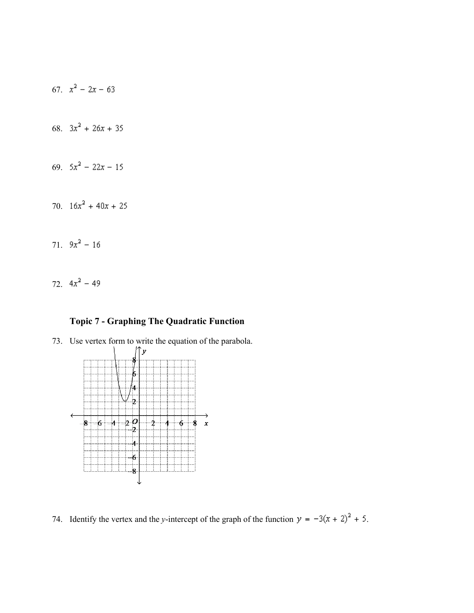

72.  $4x^2 - 49$ 

# **Topic 7 - Graphing The Quadratic Function**





74. Identify the vertex and the *y*-intercept of the graph of the function  $y = -3(x + 2)^2 + 5$ .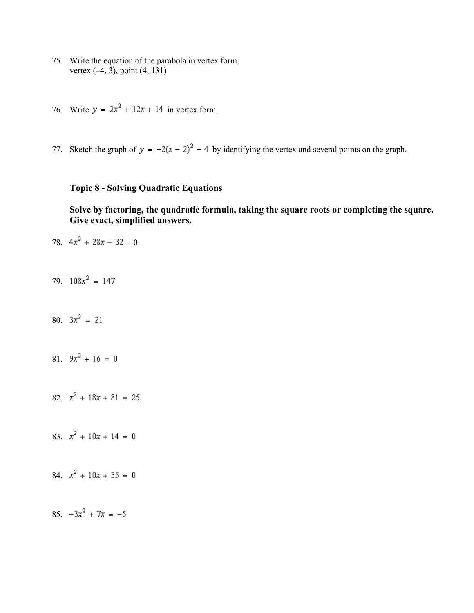- 75. Write the equation of the parabola in vertex form. vertex (–4, 3), point (4, 131)
- 76. Write  $y = 2x^2 + 12x + 14$  in vertex form.
- 77. Sketch the graph of  $y = -2(x 2)^2 4$  by identifying the vertex and several points on the graph.

## **Topic 8 - Solving Quadratic Equations**

**Solve by factoring, the quadratic formula, taking the square roots or completing the square. Give exact, simplified answers.**

78.  $4x^2 + 28x - 32 = 0$ 

79.  $108x^2 = 147$ 

80.  $3x^2 = 21$ 

81.  $9x^2 + 16 = 0$ 

82.  $x^2 + 18x + 81 = 25$ 

83.  $x^2 + 10x + 14 = 0$ 

84.  $x^2 + 10x + 35 = 0$ 

85.  $-3x^2 + 7x = -5$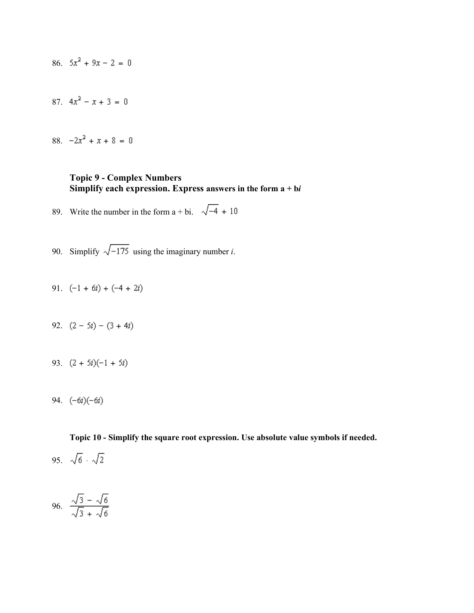- 86.  $5x^2 + 9x 2 = 0$
- 87.  $4x^2 x + 3 = 0$
- 88.  $-2x^2 + x + 8 = 0$

#### **Topic 9 - Complex Numbers Simplify each expression. Express answers in the form a + b***i*

- 89. Write the number in the form  $a + bi$ .  $\sqrt{-4} + 10$
- 90. Simplify  $\sqrt{-175}$  using the imaginary number *i*.
- 91.  $(-1 + 6i) + (-4 + 2i)$
- 92.  $(2-5i)-(3+4i)$
- 93.  $(2 + 5i)(-1 + 5i)$
- 94.  $(-6i)(-6i)$

**Topic 10 - Simplify the square root expression. Use absolute value symbols if needed.**

95.  $\sqrt{6} \cdot \sqrt{2}$ 

96. 
$$
\frac{\sqrt{3} - \sqrt{6}}{\sqrt{3} + \sqrt{6}}
$$